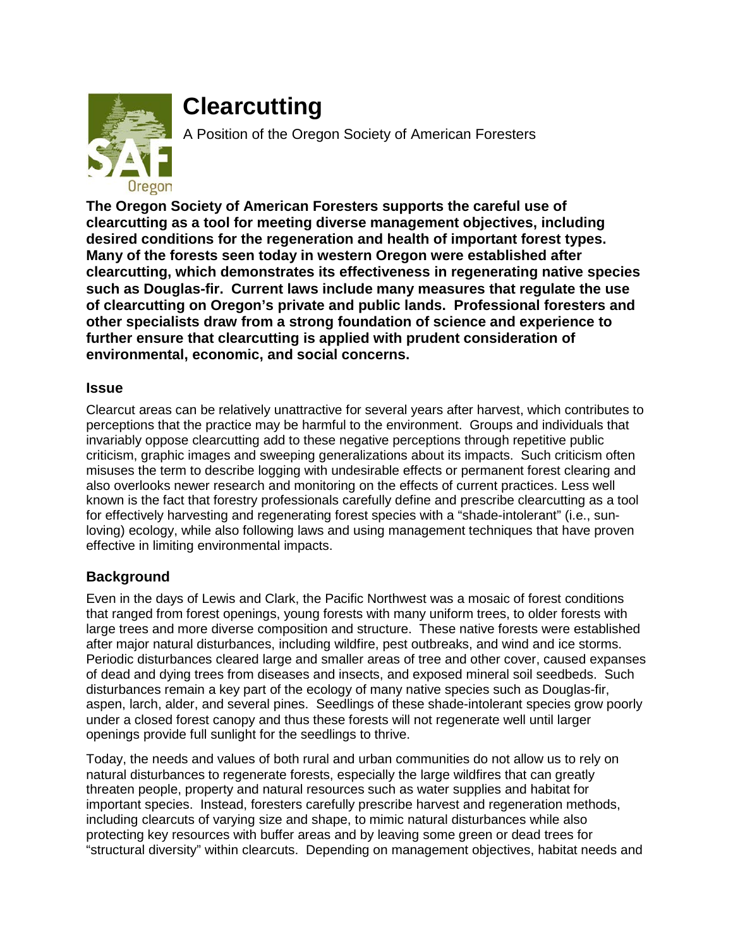

## **Clearcutting**

A Position of the Oregon Society of American Foresters

**The Oregon Society of American Foresters supports the careful use of clearcutting as a tool for meeting diverse management objectives, including desired conditions for the regeneration and health of important forest types. Many of the forests seen today in western Oregon were established after clearcutting, which demonstrates its effectiveness in regenerating native species such as Douglas-fir. Current laws include many measures that regulate the use of clearcutting on Oregon's private and public lands. Professional foresters and other specialists draw from a strong foundation of science and experience to further ensure that clearcutting is applied with prudent consideration of environmental, economic, and social concerns.**

## **Issue**

Clearcut areas can be relatively unattractive for several years after harvest, which contributes to perceptions that the practice may be harmful to the environment. Groups and individuals that invariably oppose clearcutting add to these negative perceptions through repetitive public criticism, graphic images and sweeping generalizations about its impacts. Such criticism often misuses the term to describe logging with undesirable effects or permanent forest clearing and also overlooks newer research and monitoring on the effects of current practices. Less well known is the fact that forestry professionals carefully define and prescribe clearcutting as a tool for effectively harvesting and regenerating forest species with a "shade-intolerant" (i.e., sunloving) ecology, while also following laws and using management techniques that have proven effective in limiting environmental impacts.

## **Background**

Even in the days of Lewis and Clark, the Pacific Northwest was a mosaic of forest conditions that ranged from forest openings, young forests with many uniform trees, to older forests with large trees and more diverse composition and structure. These native forests were established after major natural disturbances, including wildfire, pest outbreaks, and wind and ice storms. Periodic disturbances cleared large and smaller areas of tree and other cover, caused expanses of dead and dying trees from diseases and insects, and exposed mineral soil seedbeds. Such disturbances remain a key part of the ecology of many native species such as Douglas-fir, aspen, larch, alder, and several pines. Seedlings of these shade-intolerant species grow poorly under a closed forest canopy and thus these forests will not regenerate well until larger openings provide full sunlight for the seedlings to thrive.

Today, the needs and values of both rural and urban communities do not allow us to rely on natural disturbances to regenerate forests, especially the large wildfires that can greatly threaten people, property and natural resources such as water supplies and habitat for important species. Instead, foresters carefully prescribe harvest and regeneration methods, including clearcuts of varying size and shape, to mimic natural disturbances while also protecting key resources with buffer areas and by leaving some green or dead trees for "structural diversity" within clearcuts. Depending on management objectives, habitat needs and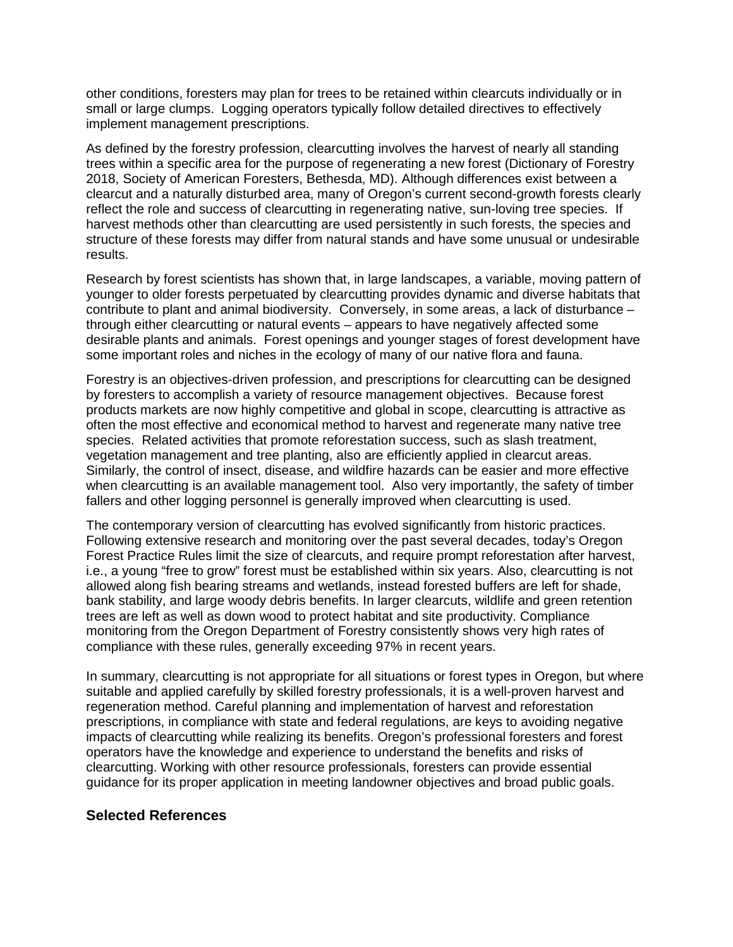other conditions, foresters may plan for trees to be retained within clearcuts individually or in small or large clumps. Logging operators typically follow detailed directives to effectively implement management prescriptions.

As defined by the forestry profession, clearcutting involves the harvest of nearly all standing trees within a specific area for the purpose of regenerating a new forest (Dictionary of Forestry 2018, Society of American Foresters, Bethesda, MD). Although differences exist between a clearcut and a naturally disturbed area, many of Oregon's current second-growth forests clearly reflect the role and success of clearcutting in regenerating native, sun-loving tree species. If harvest methods other than clearcutting are used persistently in such forests, the species and structure of these forests may differ from natural stands and have some unusual or undesirable results.

Research by forest scientists has shown that, in large landscapes, a variable, moving pattern of younger to older forests perpetuated by clearcutting provides dynamic and diverse habitats that contribute to plant and animal biodiversity. Conversely, in some areas, a lack of disturbance – through either clearcutting or natural events – appears to have negatively affected some desirable plants and animals. Forest openings and younger stages of forest development have some important roles and niches in the ecology of many of our native flora and fauna.

Forestry is an objectives-driven profession, and prescriptions for clearcutting can be designed by foresters to accomplish a variety of resource management objectives. Because forest products markets are now highly competitive and global in scope, clearcutting is attractive as often the most effective and economical method to harvest and regenerate many native tree species. Related activities that promote reforestation success, such as slash treatment, vegetation management and tree planting, also are efficiently applied in clearcut areas. Similarly, the control of insect, disease, and wildfire hazards can be easier and more effective when clearcutting is an available management tool. Also very importantly, the safety of timber fallers and other logging personnel is generally improved when clearcutting is used.

The contemporary version of clearcutting has evolved significantly from historic practices. Following extensive research and monitoring over the past several decades, today's Oregon Forest Practice Rules limit the size of clearcuts, and require prompt reforestation after harvest, i.e., a young "free to grow" forest must be established within six years. Also, clearcutting is not allowed along fish bearing streams and wetlands, instead forested buffers are left for shade, bank stability, and large woody debris benefits. In larger clearcuts, wildlife and green retention trees are left as well as down wood to protect habitat and site productivity. Compliance monitoring from the Oregon Department of Forestry consistently shows very high rates of compliance with these rules, generally exceeding 97% in recent years.

In summary, clearcutting is not appropriate for all situations or forest types in Oregon, but where suitable and applied carefully by skilled forestry professionals, it is a well-proven harvest and regeneration method. Careful planning and implementation of harvest and reforestation prescriptions, in compliance with state and federal regulations, are keys to avoiding negative impacts of clearcutting while realizing its benefits. Oregon's professional foresters and forest operators have the knowledge and experience to understand the benefits and risks of clearcutting. Working with other resource professionals, foresters can provide essential guidance for its proper application in meeting landowner objectives and broad public goals.

## **Selected References**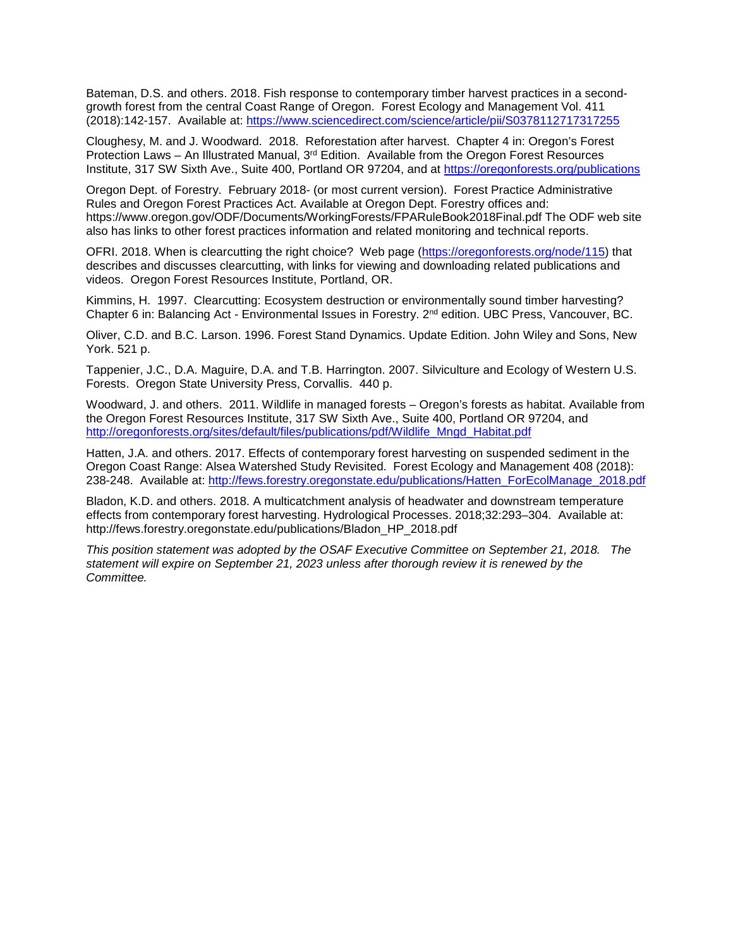Bateman, D.S. and others. 2018. Fish response to contemporary timber harvest practices in a secondgrowth forest from the central Coast Range of Oregon. Forest Ecology and Management Vol. 411 (2018):142-157. Available at:<https://www.sciencedirect.com/science/article/pii/S0378112717317255>

Cloughesy, M. and J. Woodward. 2018. Reforestation after harvest. Chapter 4 in: Oregon's Forest Protection Laws – An Illustrated Manual, 3<sup>rd</sup> Edition. Available from the Oregon Forest Resources Institute, 317 SW Sixth Ave., Suite 400, Portland OR 97204, and at <https://oregonforests.org/publications>

Oregon Dept. of Forestry. February 2018- (or most current version). Forest Practice Administrative Rules and Oregon Forest Practices Act. Available at Oregon Dept. Forestry offices and: https://www.oregon.gov/ODF/Documents/WorkingForests/FPARuleBook2018Final.pdf The ODF web site also has links to other forest practices information and related monitoring and technical reports.

OFRI. 2018. When is clearcutting the right choice? Web page [\(https://oregonforests.org/node/115\)](https://oregonforests.org/node/115) that describes and discusses clearcutting, with links for viewing and downloading related publications and videos. Oregon Forest Resources Institute, Portland, OR.

Kimmins, H. 1997. Clearcutting: Ecosystem destruction or environmentally sound timber harvesting? Chapter 6 in: Balancing Act - Environmental Issues in Forestry. 2<sup>nd</sup> edition. UBC Press, Vancouver, BC.

Oliver, C.D. and B.C. Larson. 1996. Forest Stand Dynamics. Update Edition. John Wiley and Sons, New York. 521 p.

Tappenier, J.C., D.A. Maguire, D.A. and T.B. Harrington. 2007. Silviculture and Ecology of Western U.S. Forests. Oregon State University Press, Corvallis. 440 p.

Woodward, J. and others. 2011. Wildlife in managed forests – Oregon's forests as habitat. Available from the Oregon Forest Resources Institute, 317 SW Sixth Ave., Suite 400, Portland OR 97204, and [http://oregonforests.org/sites/default/files/publications/pdf/Wildlife\\_Mngd\\_Habitat.pdf](http://oregonforests.org/sites/default/files/publications/pdf/Wildlife_Mngd_Habitat.pdf)

Hatten, J.A. and others. 2017. Effects of contemporary forest harvesting on suspended sediment in the Oregon Coast Range: Alsea Watershed Study Revisited. Forest Ecology and Management 408 (2018): 238-248. Available at: [http://fews.forestry.oregonstate.edu/publications/Hatten\\_ForEcolManage\\_2018.pdf](http://fews.forestry.oregonstate.edu/publications/Hatten_ForEcolManage_2018.pdf)

Bladon, K.D. and others. 2018. A multicatchment analysis of headwater and downstream temperature effects from contemporary forest harvesting. Hydrological Processes. 2018;32:293–304. Available at: http://fews.forestry.oregonstate.edu/publications/Bladon\_HP\_2018.pdf

*This position statement was adopted by the OSAF Executive Committee on September 21, 2018. The statement will expire on September 21, 2023 unless after thorough review it is renewed by the Committee.*